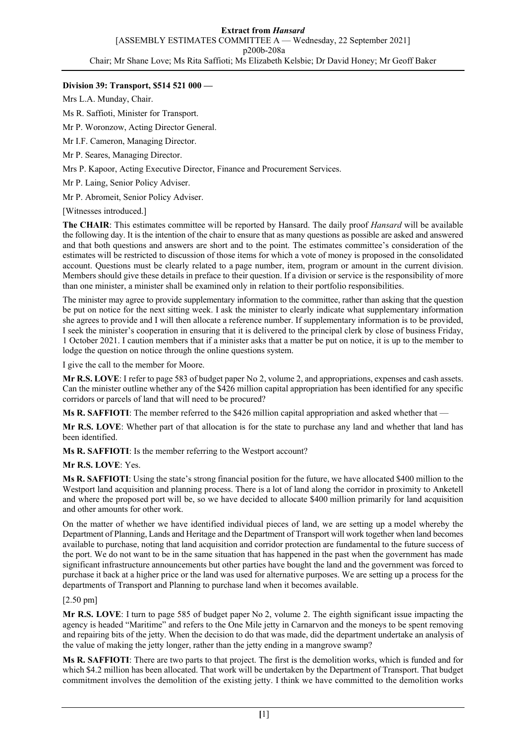# **Division 39: Transport, \$514 521 000 —**

Mrs L.A. Munday, Chair.

Ms R. Saffioti, Minister for Transport.

Mr P. Woronzow, Acting Director General.

Mr I.F. Cameron, Managing Director.

Mr P. Seares, Managing Director.

Mrs P. Kapoor, Acting Executive Director, Finance and Procurement Services.

Mr P. Laing, Senior Policy Adviser.

Mr P. Abromeit, Senior Policy Adviser.

[Witnesses introduced.]

**The CHAIR**: This estimates committee will be reported by Hansard. The daily proof *Hansard* will be available the following day. It is the intention of the chair to ensure that as many questions as possible are asked and answered and that both questions and answers are short and to the point. The estimates committee's consideration of the estimates will be restricted to discussion of those items for which a vote of money is proposed in the consolidated account. Questions must be clearly related to a page number, item, program or amount in the current division. Members should give these details in preface to their question. If a division or service is the responsibility of more than one minister, a minister shall be examined only in relation to their portfolio responsibilities.

The minister may agree to provide supplementary information to the committee, rather than asking that the question be put on notice for the next sitting week. I ask the minister to clearly indicate what supplementary information she agrees to provide and I will then allocate a reference number. If supplementary information is to be provided, I seek the minister's cooperation in ensuring that it is delivered to the principal clerk by close of business Friday, 1 October 2021. I caution members that if a minister asks that a matter be put on notice, it is up to the member to lodge the question on notice through the online questions system.

I give the call to the member for Moore.

**Mr R.S. LOVE**: I refer to page 583 of budget paper No 2, volume 2, and appropriations, expenses and cash assets. Can the minister outline whether any of the \$426 million capital appropriation has been identified for any specific corridors or parcels of land that will need to be procured?

**Ms R. SAFFIOTI**: The member referred to the \$426 million capital appropriation and asked whether that —

**Mr R.S. LOVE**: Whether part of that allocation is for the state to purchase any land and whether that land has been identified.

**Ms R. SAFFIOTI**: Is the member referring to the Westport account?

**Mr R.S. LOVE**: Yes.

**Ms R. SAFFIOTI**: Using the state's strong financial position for the future, we have allocated \$400 million to the Westport land acquisition and planning process. There is a lot of land along the corridor in proximity to Anketell and where the proposed port will be, so we have decided to allocate \$400 million primarily for land acquisition and other amounts for other work.

On the matter of whether we have identified individual pieces of land, we are setting up a model whereby the Department of Planning, Lands and Heritage and the Department of Transport will work together when land becomes available to purchase, noting that land acquisition and corridor protection are fundamental to the future success of the port. We do not want to be in the same situation that has happened in the past when the government has made significant infrastructure announcements but other parties have bought the land and the government was forced to purchase it back at a higher price or the land was used for alternative purposes. We are setting up a process for the departments of Transport and Planning to purchase land when it becomes available.

# [2.50 pm]

**Mr R.S. LOVE**: I turn to page 585 of budget paper No 2, volume 2. The eighth significant issue impacting the agency is headed "Maritime" and refers to the One Mile jetty in Carnarvon and the moneys to be spent removing and repairing bits of the jetty. When the decision to do that was made, did the department undertake an analysis of the value of making the jetty longer, rather than the jetty ending in a mangrove swamp?

**Ms R. SAFFIOTI**: There are two parts to that project. The first is the demolition works, which is funded and for which \$4.2 million has been allocated. That work will be undertaken by the Department of Transport. That budget commitment involves the demolition of the existing jetty. I think we have committed to the demolition works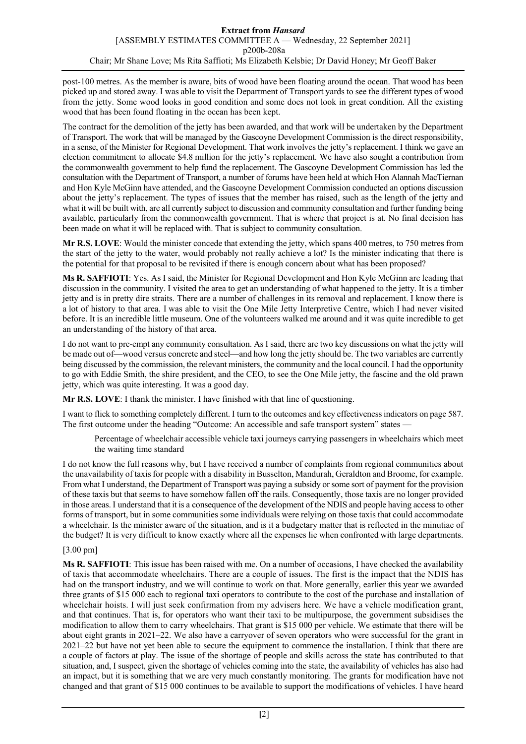post-100 metres. As the member is aware, bits of wood have been floating around the ocean. That wood has been picked up and stored away. I was able to visit the Department of Transport yards to see the different types of wood from the jetty. Some wood looks in good condition and some does not look in great condition. All the existing wood that has been found floating in the ocean has been kept.

The contract for the demolition of the jetty has been awarded, and that work will be undertaken by the Department of Transport. The work that will be managed by the Gascoyne Development Commission is the direct responsibility, in a sense, of the Minister for Regional Development. That work involves the jetty's replacement. I think we gave an election commitment to allocate \$4.8 million for the jetty's replacement. We have also sought a contribution from the commonwealth government to help fund the replacement. The Gascoyne Development Commission has led the consultation with the Department of Transport, a number of forums have been held at which Hon Alannah MacTiernan and Hon Kyle McGinn have attended, and the Gascoyne Development Commission conducted an options discussion about the jetty's replacement. The types of issues that the member has raised, such as the length of the jetty and what it will be built with, are all currently subject to discussion and community consultation and further funding being available, particularly from the commonwealth government. That is where that project is at. No final decision has been made on what it will be replaced with. That is subject to community consultation.

**Mr R.S. LOVE**: Would the minister concede that extending the jetty, which spans 400 metres, to 750 metres from the start of the jetty to the water, would probably not really achieve a lot? Is the minister indicating that there is the potential for that proposal to be revisited if there is enough concern about what has been proposed?

**Ms R. SAFFIOTI**: Yes. As I said, the Minister for Regional Development and Hon Kyle McGinn are leading that discussion in the community. I visited the area to get an understanding of what happened to the jetty. It is a timber jetty and is in pretty dire straits. There are a number of challenges in its removal and replacement. I know there is a lot of history to that area. I was able to visit the One Mile Jetty Interpretive Centre, which I had never visited before. It is an incredible little museum. One of the volunteers walked me around and it was quite incredible to get an understanding of the history of that area.

I do not want to pre-empt any community consultation. As I said, there are two key discussions on what the jetty will be made out of—wood versus concrete and steel—and how long the jetty should be. The two variables are currently being discussed by the commission, the relevant ministers, the community and the local council. I had the opportunity to go with Eddie Smith, the shire president, and the CEO, to see the One Mile jetty, the fascine and the old prawn jetty, which was quite interesting. It was a good day.

**Mr R.S. LOVE**: I thank the minister. I have finished with that line of questioning.

I want to flick to something completely different. I turn to the outcomes and key effectiveness indicators on page 587. The first outcome under the heading "Outcome: An accessible and safe transport system" states -

Percentage of wheelchair accessible vehicle taxi journeys carrying passengers in wheelchairs which meet the waiting time standard

I do not know the full reasons why, but I have received a number of complaints from regional communities about the unavailability of taxis for people with a disability in Busselton, Mandurah, Geraldton and Broome, for example. From what I understand, the Department of Transport was paying a subsidy or some sort of payment for the provision of these taxis but that seems to have somehow fallen off the rails. Consequently, those taxis are no longer provided in those areas. I understand that it is a consequence of the development of the NDIS and people having access to other forms of transport, but in some communities some individuals were relying on those taxis that could accommodate a wheelchair. Is the minister aware of the situation, and is it a budgetary matter that is reflected in the minutiae of the budget? It is very difficult to know exactly where all the expenses lie when confronted with large departments.

# [3.00 pm]

**Ms R. SAFFIOTI**: This issue has been raised with me. On a number of occasions, I have checked the availability of taxis that accommodate wheelchairs. There are a couple of issues. The first is the impact that the NDIS has had on the transport industry, and we will continue to work on that. More generally, earlier this year we awarded three grants of \$15 000 each to regional taxi operators to contribute to the cost of the purchase and installation of wheelchair hoists. I will just seek confirmation from my advisers here. We have a vehicle modification grant, and that continues. That is, for operators who want their taxi to be multipurpose, the government subsidises the modification to allow them to carry wheelchairs. That grant is \$15 000 per vehicle. We estimate that there will be about eight grants in 2021–22. We also have a carryover of seven operators who were successful for the grant in 2021–22 but have not yet been able to secure the equipment to commence the installation. I think that there are a couple of factors at play. The issue of the shortage of people and skills across the state has contributed to that situation, and, I suspect, given the shortage of vehicles coming into the state, the availability of vehicles has also had an impact, but it is something that we are very much constantly monitoring. The grants for modification have not changed and that grant of \$15 000 continues to be available to support the modifications of vehicles. I have heard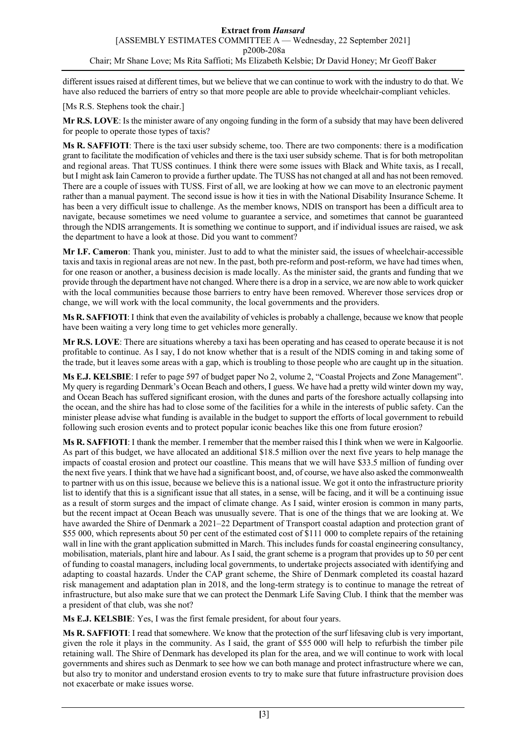different issues raised at different times, but we believe that we can continue to work with the industry to do that. We have also reduced the barriers of entry so that more people are able to provide wheelchair-compliant vehicles.

[Ms R.S. Stephens took the chair.]

**Mr R.S. LOVE**: Is the minister aware of any ongoing funding in the form of a subsidy that may have been delivered for people to operate those types of taxis?

**Ms R. SAFFIOTI**: There is the taxi user subsidy scheme, too. There are two components: there is a modification grant to facilitate the modification of vehicles and there is the taxi user subsidy scheme. That is for both metropolitan and regional areas. That TUSS continues. I think there were some issues with Black and White taxis, as I recall, but I might ask Iain Cameron to provide a further update. The TUSS has not changed at all and has not been removed. There are a couple of issues with TUSS. First of all, we are looking at how we can move to an electronic payment rather than a manual payment. The second issue is how it ties in with the National Disability Insurance Scheme. It has been a very difficult issue to challenge. As the member knows, NDIS on transport has been a difficult area to navigate, because sometimes we need volume to guarantee a service, and sometimes that cannot be guaranteed through the NDIS arrangements. It is something we continue to support, and if individual issues are raised, we ask the department to have a look at those. Did you want to comment?

**Mr I.F. Cameron**: Thank you, minister. Just to add to what the minister said, the issues of wheelchair-accessible taxis and taxis in regional areas are not new. In the past, both pre-reform and post-reform, we have had times when, for one reason or another, a business decision is made locally. As the minister said, the grants and funding that we provide through the department have not changed. Where there is a drop in a service, we are now able to work quicker with the local communities because those barriers to entry have been removed. Wherever those services drop or change, we will work with the local community, the local governments and the providers.

**Ms R. SAFFIOTI**: I think that even the availability of vehicles is probably a challenge, because we know that people have been waiting a very long time to get vehicles more generally.

**Mr R.S. LOVE**: There are situations whereby a taxi has been operating and has ceased to operate because it is not profitable to continue. As I say, I do not know whether that is a result of the NDIS coming in and taking some of the trade, but it leaves some areas with a gap, which is troubling to those people who are caught up in the situation.

**Ms E.J. KELSBIE**: I refer to page 597 of budget paper No 2, volume 2, "Coastal Projects and Zone Management". My query is regarding Denmark's Ocean Beach and others, I guess. We have had a pretty wild winter down my way, and Ocean Beach has suffered significant erosion, with the dunes and parts of the foreshore actually collapsing into the ocean, and the shire has had to close some of the facilities for a while in the interests of public safety. Can the minister please advise what funding is available in the budget to support the efforts of local government to rebuild following such erosion events and to protect popular iconic beaches like this one from future erosion?

**Ms R. SAFFIOTI**: I thank the member. I remember that the member raised this I think when we were in Kalgoorlie. As part of this budget, we have allocated an additional \$18.5 million over the next five years to help manage the impacts of coastal erosion and protect our coastline. This means that we will have \$33.5 million of funding over the next five years. I think that we have had a significant boost, and, of course, we have also asked the commonwealth to partner with us on this issue, because we believe this is a national issue. We got it onto the infrastructure priority list to identify that this is a significant issue that all states, in a sense, will be facing, and it will be a continuing issue as a result of storm surges and the impact of climate change. As I said, winter erosion is common in many parts, but the recent impact at Ocean Beach was unusually severe. That is one of the things that we are looking at. We have awarded the Shire of Denmark a 2021–22 Department of Transport coastal adaption and protection grant of \$55 000, which represents about 50 per cent of the estimated cost of \$111 000 to complete repairs of the retaining wall in line with the grant application submitted in March. This includes funds for coastal engineering consultancy, mobilisation, materials, plant hire and labour. As I said, the grant scheme is a program that provides up to 50 per cent of funding to coastal managers, including local governments, to undertake projects associated with identifying and adapting to coastal hazards. Under the CAP grant scheme, the Shire of Denmark completed its coastal hazard risk management and adaptation plan in 2018, and the long-term strategy is to continue to manage the retreat of infrastructure, but also make sure that we can protect the Denmark Life Saving Club. I think that the member was a president of that club, was she not?

**Ms E.J. KELSBIE**: Yes, I was the first female president, for about four years.

**Ms R. SAFFIOTI**: I read that somewhere. We know that the protection of the surf lifesaving club is very important, given the role it plays in the community. As I said, the grant of \$55 000 will help to refurbish the timber pile retaining wall. The Shire of Denmark has developed its plan for the area, and we will continue to work with local governments and shires such as Denmark to see how we can both manage and protect infrastructure where we can, but also try to monitor and understand erosion events to try to make sure that future infrastructure provision does not exacerbate or make issues worse.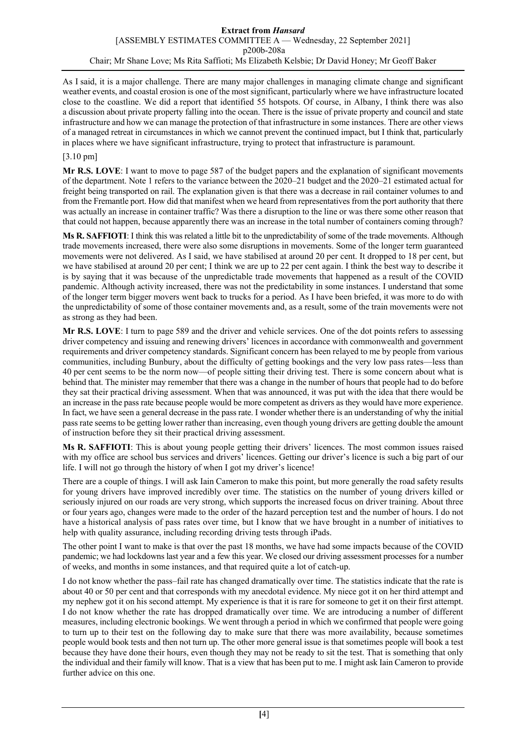As I said, it is a major challenge. There are many major challenges in managing climate change and significant weather events, and coastal erosion is one of the most significant, particularly where we have infrastructure located close to the coastline. We did a report that identified 55 hotspots. Of course, in Albany, I think there was also a discussion about private property falling into the ocean. There is the issue of private property and council and state infrastructure and how we can manage the protection of that infrastructure in some instances. There are other views of a managed retreat in circumstances in which we cannot prevent the continued impact, but I think that, particularly in places where we have significant infrastructure, trying to protect that infrastructure is paramount.

# [3.10 pm]

**Mr R.S. LOVE**: I want to move to page 587 of the budget papers and the explanation of significant movements of the department. Note 1 refers to the variance between the 2020–21 budget and the 2020–21 estimated actual for freight being transported on rail. The explanation given is that there was a decrease in rail container volumes to and from the Fremantle port. How did that manifest when we heard from representatives from the port authority that there was actually an increase in container traffic? Was there a disruption to the line or was there some other reason that that could not happen, because apparently there was an increase in the total number of containers coming through?

**Ms R. SAFFIOTI**: I think this was related a little bit to the unpredictability of some of the trade movements. Although trade movements increased, there were also some disruptions in movements. Some of the longer term guaranteed movements were not delivered. As I said, we have stabilised at around 20 per cent. It dropped to 18 per cent, but we have stabilised at around 20 per cent; I think we are up to 22 per cent again. I think the best way to describe it is by saying that it was because of the unpredictable trade movements that happened as a result of the COVID pandemic. Although activity increased, there was not the predictability in some instances. I understand that some of the longer term bigger movers went back to trucks for a period. As I have been briefed, it was more to do with the unpredictability of some of those container movements and, as a result, some of the train movements were not as strong as they had been.

**Mr R.S. LOVE**: I turn to page 589 and the driver and vehicle services. One of the dot points refers to assessing driver competency and issuing and renewing drivers' licences in accordance with commonwealth and government requirements and driver competency standards. Significant concern has been relayed to me by people from various communities, including Bunbury, about the difficulty of getting bookings and the very low pass rates—less than 40 per cent seems to be the norm now—of people sitting their driving test. There is some concern about what is behind that. The minister may remember that there was a change in the number of hours that people had to do before they sat their practical driving assessment. When that was announced, it was put with the idea that there would be an increase in the pass rate because people would be more competent as drivers as they would have more experience. In fact, we have seen a general decrease in the pass rate. I wonder whether there is an understanding of why the initial pass rate seems to be getting lower rather than increasing, even though young drivers are getting double the amount of instruction before they sit their practical driving assessment.

**Ms R. SAFFIOTI**: This is about young people getting their drivers' licences. The most common issues raised with my office are school bus services and drivers' licences. Getting our driver's licence is such a big part of our life. I will not go through the history of when I got my driver's licence!

There are a couple of things. I will ask Iain Cameron to make this point, but more generally the road safety results for young drivers have improved incredibly over time. The statistics on the number of young drivers killed or seriously injured on our roads are very strong, which supports the increased focus on driver training. About three or four years ago, changes were made to the order of the hazard perception test and the number of hours. I do not have a historical analysis of pass rates over time, but I know that we have brought in a number of initiatives to help with quality assurance, including recording driving tests through iPads.

The other point I want to make is that over the past 18 months, we have had some impacts because of the COVID pandemic; we had lockdowns last year and a few this year. We closed our driving assessment processes for a number of weeks, and months in some instances, and that required quite a lot of catch-up.

I do not know whether the pass–fail rate has changed dramatically over time. The statistics indicate that the rate is about 40 or 50 per cent and that corresponds with my anecdotal evidence. My niece got it on her third attempt and my nephew got it on his second attempt. My experience is that it is rare for someone to get it on their first attempt. I do not know whether the rate has dropped dramatically over time. We are introducing a number of different measures, including electronic bookings. We went through a period in which we confirmed that people were going to turn up to their test on the following day to make sure that there was more availability, because sometimes people would book tests and then not turn up. The other more general issue is that sometimes people will book a test because they have done their hours, even though they may not be ready to sit the test. That is something that only the individual and their family will know. That is a view that has been put to me. I might ask Iain Cameron to provide further advice on this one.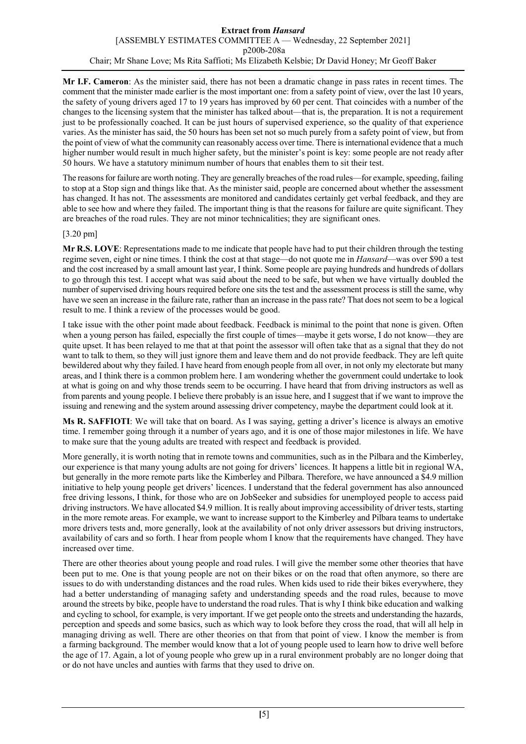**Mr I.F. Cameron**: As the minister said, there has not been a dramatic change in pass rates in recent times. The comment that the minister made earlier is the most important one: from a safety point of view, over the last 10 years, the safety of young drivers aged 17 to 19 years has improved by 60 per cent. That coincides with a number of the changes to the licensing system that the minister has talked about—that is, the preparation. It is not a requirement just to be professionally coached. It can be just hours of supervised experience, so the quality of that experience varies. As the minister has said, the 50 hours has been set not so much purely from a safety point of view, but from the point of view of what the community can reasonably access over time. There is international evidence that a much higher number would result in much higher safety, but the minister's point is key: some people are not ready after 50 hours. We have a statutory minimum number of hours that enables them to sit their test.

The reasons for failure are worth noting. They are generally breaches of the road rules—for example, speeding, failing to stop at a Stop sign and things like that. As the minister said, people are concerned about whether the assessment has changed. It has not. The assessments are monitored and candidates certainly get verbal feedback, and they are able to see how and where they failed. The important thing is that the reasons for failure are quite significant. They are breaches of the road rules. They are not minor technicalities; they are significant ones.

# [3.20 pm]

**Mr R.S. LOVE**: Representations made to me indicate that people have had to put their children through the testing regime seven, eight or nine times. I think the cost at that stage—do not quote me in *Hansard*—was over \$90 a test and the cost increased by a small amount last year, I think. Some people are paying hundreds and hundreds of dollars to go through this test. I accept what was said about the need to be safe, but when we have virtually doubled the number of supervised driving hours required before one sits the test and the assessment process is still the same, why have we seen an increase in the failure rate, rather than an increase in the pass rate? That does not seem to be a logical result to me. I think a review of the processes would be good.

I take issue with the other point made about feedback. Feedback is minimal to the point that none is given. Often when a young person has failed, especially the first couple of times—maybe it gets worse, I do not know—they are quite upset. It has been relayed to me that at that point the assessor will often take that as a signal that they do not want to talk to them, so they will just ignore them and leave them and do not provide feedback. They are left quite bewildered about why they failed. I have heard from enough people from all over, in not only my electorate but many areas, and I think there is a common problem here. I am wondering whether the government could undertake to look at what is going on and why those trends seem to be occurring. I have heard that from driving instructors as well as from parents and young people. I believe there probably is an issue here, and I suggest that if we want to improve the issuing and renewing and the system around assessing driver competency, maybe the department could look at it.

**Ms R. SAFFIOTI**: We will take that on board. As I was saying, getting a driver's licence is always an emotive time. I remember going through it a number of years ago, and it is one of those major milestones in life. We have to make sure that the young adults are treated with respect and feedback is provided.

More generally, it is worth noting that in remote towns and communities, such as in the Pilbara and the Kimberley, our experience is that many young adults are not going for drivers' licences. It happens a little bit in regional WA, but generally in the more remote parts like the Kimberley and Pilbara. Therefore, we have announced a \$4.9 million initiative to help young people get drivers' licences. I understand that the federal government has also announced free driving lessons, I think, for those who are on JobSeeker and subsidies for unemployed people to access paid driving instructors. We have allocated \$4.9 million. It is really about improving accessibility of driver tests, starting in the more remote areas. For example, we want to increase support to the Kimberley and Pilbara teams to undertake more drivers tests and, more generally, look at the availability of not only driver assessors but driving instructors, availability of cars and so forth. I hear from people whom I know that the requirements have changed. They have increased over time.

There are other theories about young people and road rules. I will give the member some other theories that have been put to me. One is that young people are not on their bikes or on the road that often anymore, so there are issues to do with understanding distances and the road rules. When kids used to ride their bikes everywhere, they had a better understanding of managing safety and understanding speeds and the road rules, because to move around the streets by bike, people have to understand the road rules. That is why I think bike education and walking and cycling to school, for example, is very important. If we get people onto the streets and understanding the hazards, perception and speeds and some basics, such as which way to look before they cross the road, that will all help in managing driving as well. There are other theories on that from that point of view. I know the member is from a farming background. The member would know that a lot of young people used to learn how to drive well before the age of 17. Again, a lot of young people who grew up in a rural environment probably are no longer doing that or do not have uncles and aunties with farms that they used to drive on.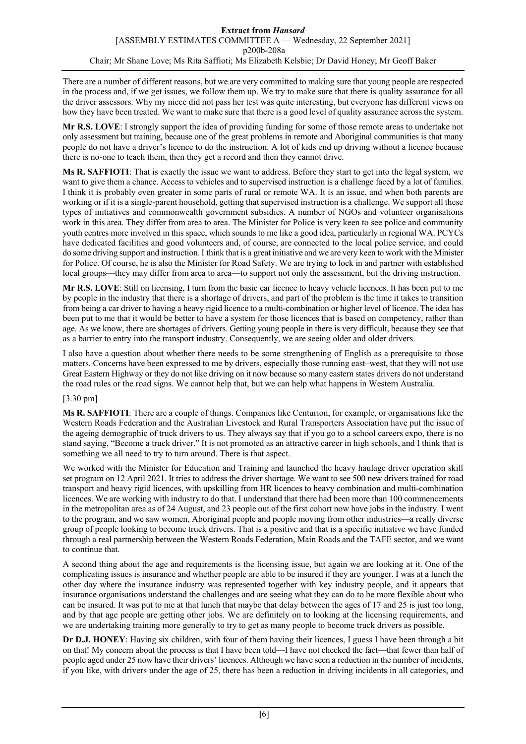There are a number of different reasons, but we are very committed to making sure that young people are respected in the process and, if we get issues, we follow them up. We try to make sure that there is quality assurance for all the driver assessors. Why my niece did not pass her test was quite interesting, but everyone has different views on how they have been treated. We want to make sure that there is a good level of quality assurance across the system.

**Mr R.S. LOVE**: I strongly support the idea of providing funding for some of those remote areas to undertake not only assessment but training, because one of the great problems in remote and Aboriginal communities is that many people do not have a driver's licence to do the instruction. A lot of kids end up driving without a licence because there is no-one to teach them, then they get a record and then they cannot drive.

**Ms R. SAFFIOTI**: That is exactly the issue we want to address. Before they start to get into the legal system, we want to give them a chance. Access to vehicles and to supervised instruction is a challenge faced by a lot of families. I think it is probably even greater in some parts of rural or remote WA. It is an issue, and when both parents are working or if it is a single-parent household, getting that supervised instruction is a challenge. We support all these types of initiatives and commonwealth government subsidies. A number of NGOs and volunteer organisations work in this area. They differ from area to area. The Minister for Police is very keen to see police and community youth centres more involved in this space, which sounds to me like a good idea, particularly in regional WA. PCYCs have dedicated facilities and good volunteers and, of course, are connected to the local police service, and could do some driving support and instruction. I think that is a great initiative and we are very keen to work with the Minister for Police. Of course, he is also the Minister for Road Safety. We are trying to lock in and partner with established local groups—they may differ from area to area—to support not only the assessment, but the driving instruction.

**Mr R.S. LOVE**: Still on licensing, I turn from the basic car licence to heavy vehicle licences. It has been put to me by people in the industry that there is a shortage of drivers, and part of the problem is the time it takes to transition from being a car driver to having a heavy rigid licence to a multi-combination or higher level of licence. The idea has been put to me that it would be better to have a system for those licences that is based on competency, rather than age. As we know, there are shortages of drivers. Getting young people in there is very difficult, because they see that as a barrier to entry into the transport industry. Consequently, we are seeing older and older drivers.

I also have a question about whether there needs to be some strengthening of English as a prerequisite to those matters. Concerns have been expressed to me by drivers, especially those running east–west, that they will not use Great Eastern Highway or they do not like driving on it now because so many eastern states drivers do not understand the road rules or the road signs. We cannot help that, but we can help what happens in Western Australia.

# [3.30 pm]

**Ms R. SAFFIOTI**: There are a couple of things. Companies like Centurion, for example, or organisations like the Western Roads Federation and the Australian Livestock and Rural Transporters Association have put the issue of the ageing demographic of truck drivers to us. They always say that if you go to a school careers expo, there is no stand saying, "Become a truck driver." It is not promoted as an attractive career in high schools, and I think that is something we all need to try to turn around. There is that aspect.

We worked with the Minister for Education and Training and launched the heavy haulage driver operation skill set program on 12 April 2021. It tries to address the driver shortage. We want to see 500 new drivers trained for road transport and heavy rigid licences, with upskilling from HR licences to heavy combination and multi-combination licences. We are working with industry to do that. I understand that there had been more than 100 commencements in the metropolitan area as of 24 August, and 23 people out of the first cohort now have jobs in the industry. I went to the program, and we saw women, Aboriginal people and people moving from other industries—a really diverse group of people looking to become truck drivers. That is a positive and that is a specific initiative we have funded through a real partnership between the Western Roads Federation, Main Roads and the TAFE sector, and we want to continue that.

A second thing about the age and requirements is the licensing issue, but again we are looking at it. One of the complicating issues is insurance and whether people are able to be insured if they are younger. I was at a lunch the other day where the insurance industry was represented together with key industry people, and it appears that insurance organisations understand the challenges and are seeing what they can do to be more flexible about who can be insured. It was put to me at that lunch that maybe that delay between the ages of 17 and 25 is just too long, and by that age people are getting other jobs. We are definitely on to looking at the licensing requirements, and we are undertaking training more generally to try to get as many people to become truck drivers as possible.

**Dr D.J. HONEY**: Having six children, with four of them having their licences, I guess I have been through a bit on that! My concern about the process is that I have been told—I have not checked the fact—that fewer than half of people aged under 25 now have their drivers' licences. Although we have seen a reduction in the number of incidents, if you like, with drivers under the age of 25, there has been a reduction in driving incidents in all categories, and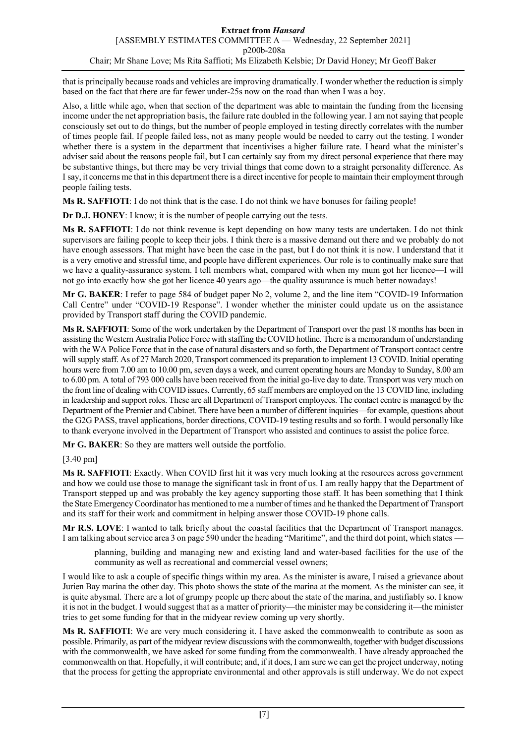that is principally because roads and vehicles are improving dramatically. I wonder whether the reduction is simply based on the fact that there are far fewer under-25s now on the road than when I was a boy.

Also, a little while ago, when that section of the department was able to maintain the funding from the licensing income under the net appropriation basis, the failure rate doubled in the following year. I am not saying that people consciously set out to do things, but the number of people employed in testing directly correlates with the number of times people fail. If people failed less, not as many people would be needed to carry out the testing. I wonder whether there is a system in the department that incentivises a higher failure rate. I heard what the minister's adviser said about the reasons people fail, but I can certainly say from my direct personal experience that there may be substantive things, but there may be very trivial things that come down to a straight personality difference. As I say, it concerns me that in this department there is a direct incentive for people to maintain their employment through people failing tests.

**Ms R. SAFFIOTI**: I do not think that is the case. I do not think we have bonuses for failing people!

**Dr D.J. HONEY**: I know; it is the number of people carrying out the tests.

**Ms R. SAFFIOTI**: I do not think revenue is kept depending on how many tests are undertaken. I do not think supervisors are failing people to keep their jobs. I think there is a massive demand out there and we probably do not have enough assessors. That might have been the case in the past, but I do not think it is now. I understand that it is a very emotive and stressful time, and people have different experiences. Our role is to continually make sure that we have a quality-assurance system. I tell members what, compared with when my mum got her licence—I will not go into exactly how she got her licence 40 years ago—the quality assurance is much better nowadays!

**Mr G. BAKER**: I refer to page 584 of budget paper No 2, volume 2, and the line item "COVID-19 Information Call Centre" under "COVID-19 Response". I wonder whether the minister could update us on the assistance provided by Transport staff during the COVID pandemic.

**Ms R. SAFFIOTI**: Some of the work undertaken by the Department of Transport over the past 18 months has been in assisting the Western Australia Police Force with staffing the COVID hotline. There is a memorandum of understanding with the WA Police Force that in the case of natural disasters and so forth, the Department of Transport contact centre will supply staff. As of 27 March 2020, Transport commenced its preparation to implement 13 COVID. Initial operating hours were from 7.00 am to 10.00 pm, seven days a week, and current operating hours are Monday to Sunday, 8.00 am to 6.00 pm. A total of 793 000 calls have been received from the initial go-live day to date. Transport was very much on the front line of dealing with COVID issues. Currently, 65 staff members are employed on the 13 COVID line, including in leadership and support roles. These are all Department of Transport employees. The contact centre is managed by the Department of the Premier and Cabinet. There have been a number of different inquiries—for example, questions about the G2G PASS, travel applications, border directions, COVID-19 testing results and so forth. I would personally like to thank everyone involved in the Department of Transport who assisted and continues to assist the police force.

**Mr G. BAKER**: So they are matters well outside the portfolio.

# [3.40 pm]

**Ms R. SAFFIOTI**: Exactly. When COVID first hit it was very much looking at the resources across government and how we could use those to manage the significant task in front of us. I am really happy that the Department of Transport stepped up and was probably the key agency supporting those staff. It has been something that I think the State Emergency Coordinator has mentioned to me a number of times and he thanked the Department of Transport and its staff for their work and commitment in helping answer those COVID-19 phone calls.

**Mr R.S. LOVE**: I wanted to talk briefly about the coastal facilities that the Department of Transport manages. I am talking about service area 3 on page 590 under the heading "Maritime", and the third dot point, which states —

planning, building and managing new and existing land and water-based facilities for the use of the community as well as recreational and commercial vessel owners;

I would like to ask a couple of specific things within my area. As the minister is aware, I raised a grievance about Jurien Bay marina the other day. This photo shows the state of the marina at the moment. As the minister can see, it is quite abysmal. There are a lot of grumpy people up there about the state of the marina, and justifiably so. I know it is not in the budget. I would suggest that as a matter of priority—the minister may be considering it—the minister tries to get some funding for that in the midyear review coming up very shortly.

**Ms R. SAFFIOTI**: We are very much considering it. I have asked the commonwealth to contribute as soon as possible. Primarily, as part of the midyear review discussions with the commonwealth, together with budget discussions with the commonwealth, we have asked for some funding from the commonwealth. I have already approached the commonwealth on that. Hopefully, it will contribute; and, if it does, I am sure we can get the project underway, noting that the process for getting the appropriate environmental and other approvals is still underway. We do not expect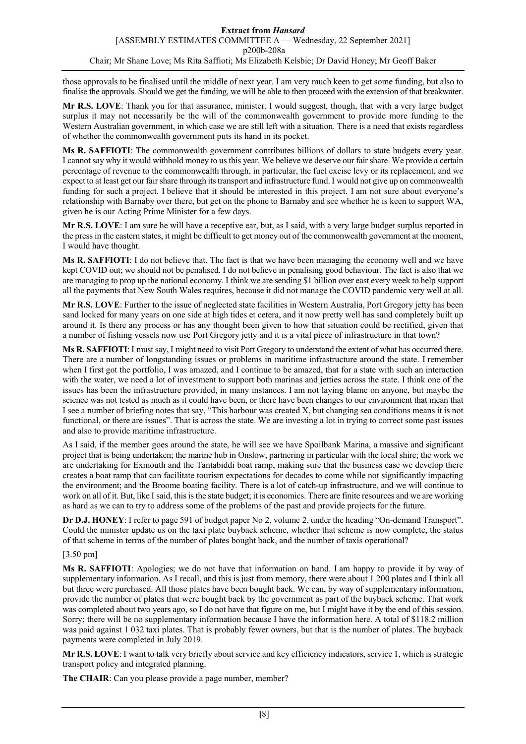those approvals to be finalised until the middle of next year. I am very much keen to get some funding, but also to finalise the approvals. Should we get the funding, we will be able to then proceed with the extension of that breakwater.

**Mr R.S. LOVE**: Thank you for that assurance, minister. I would suggest, though, that with a very large budget surplus it may not necessarily be the will of the commonwealth government to provide more funding to the Western Australian government, in which case we are still left with a situation. There is a need that exists regardless of whether the commonwealth government puts its hand in its pocket.

**Ms R. SAFFIOTI**: The commonwealth government contributes billions of dollars to state budgets every year. I cannot say why it would withhold money to us this year. We believe we deserve our fair share. We provide a certain percentage of revenue to the commonwealth through, in particular, the fuel excise levy or its replacement, and we expect to at least get our fair share through its transport and infrastructure fund. I would not give up on commonwealth funding for such a project. I believe that it should be interested in this project. I am not sure about everyone's relationship with Barnaby over there, but get on the phone to Barnaby and see whether he is keen to support WA, given he is our Acting Prime Minister for a few days.

**Mr R.S. LOVE**: I am sure he will have a receptive ear, but, as I said, with a very large budget surplus reported in the press in the eastern states, it might be difficult to get money out of the commonwealth government at the moment, I would have thought.

**Ms R. SAFFIOTI**: I do not believe that. The fact is that we have been managing the economy well and we have kept COVID out; we should not be penalised. I do not believe in penalising good behaviour. The fact is also that we are managing to prop up the national economy. I think we are sending \$1 billion over east every week to help support all the payments that New South Wales requires, because it did not manage the COVID pandemic very well at all.

**Mr R.S. LOVE**: Further to the issue of neglected state facilities in Western Australia, Port Gregory jetty has been sand locked for many years on one side at high tides et cetera, and it now pretty well has sand completely built up around it. Is there any process or has any thought been given to how that situation could be rectified, given that a number of fishing vessels now use Port Gregory jetty and it is a vital piece of infrastructure in that town?

**Ms R. SAFFIOTI**: I must say, I might need to visit Port Gregory to understand the extent of what has occurred there. There are a number of longstanding issues or problems in maritime infrastructure around the state. I remember when I first got the portfolio, I was amazed, and I continue to be amazed, that for a state with such an interaction with the water, we need a lot of investment to support both marinas and jetties across the state. I think one of the issues has been the infrastructure provided, in many instances. I am not laying blame on anyone, but maybe the science was not tested as much as it could have been, or there have been changes to our environment that mean that I see a number of briefing notes that say, "This harbour was created X, but changing sea conditions means it is not functional, or there are issues". That is across the state. We are investing a lot in trying to correct some past issues and also to provide maritime infrastructure.

As I said, if the member goes around the state, he will see we have Spoilbank Marina, a massive and significant project that is being undertaken; the marine hub in Onslow, partnering in particular with the local shire; the work we are undertaking for Exmouth and the Tantabiddi boat ramp, making sure that the business case we develop there creates a boat ramp that can facilitate tourism expectations for decades to come while not significantly impacting the environment; and the Broome boating facility. There is a lot of catch-up infrastructure, and we will continue to work on all of it. But, like I said, this is the state budget; it is economics. There are finite resources and we are working as hard as we can to try to address some of the problems of the past and provide projects for the future.

**Dr D.J. HONEY**: I refer to page 591 of budget paper No 2, volume 2, under the heading "On-demand Transport". Could the minister update us on the taxi plate buyback scheme, whether that scheme is now complete, the status of that scheme in terms of the number of plates bought back, and the number of taxis operational?

# [3.50 pm]

**Ms R. SAFFIOTI**: Apologies; we do not have that information on hand. I am happy to provide it by way of supplementary information. As I recall, and this is just from memory, there were about 1 200 plates and I think all but three were purchased. All those plates have been bought back. We can, by way of supplementary information, provide the number of plates that were bought back by the government as part of the buyback scheme. That work was completed about two years ago, so I do not have that figure on me, but I might have it by the end of this session. Sorry; there will be no supplementary information because I have the information here. A total of \$118.2 million was paid against 1 032 taxi plates. That is probably fewer owners, but that is the number of plates. The buyback payments were completed in July 2019.

**Mr R.S. LOVE**: I want to talk very briefly about service and key efficiency indicators, service 1, which is strategic transport policy and integrated planning.

**The CHAIR**: Can you please provide a page number, member?